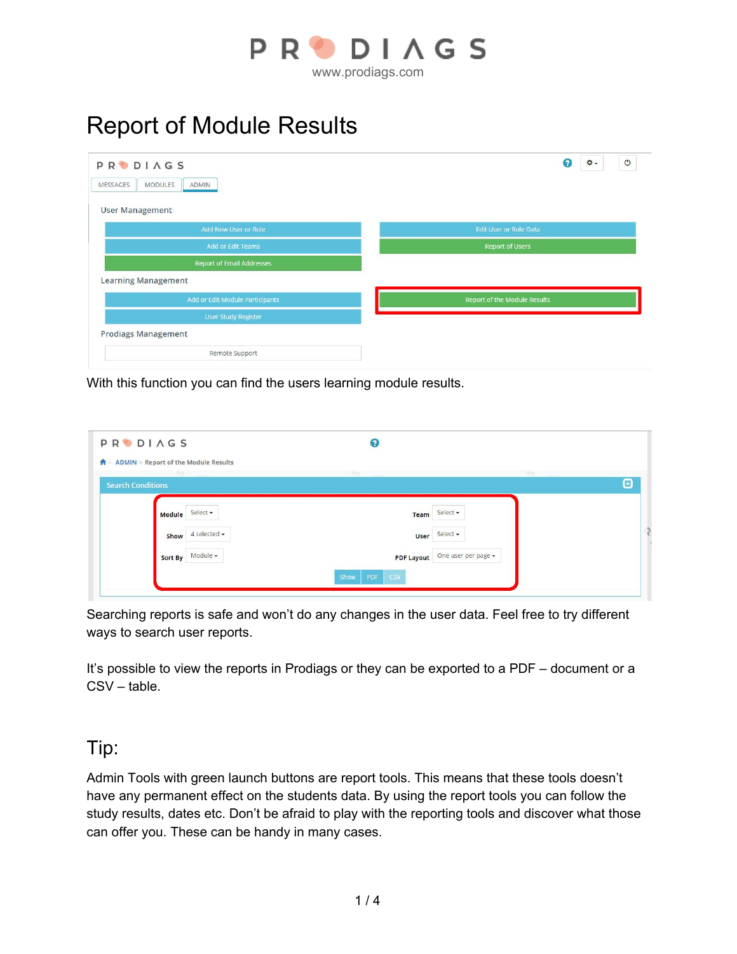

## Report of Module Results

| <b>PRODIAGS</b><br><b>MODULES</b><br><b>MESSAGES</b><br>ADMIN | $\mathcal{O}$<br>0<br>۰.            |
|---------------------------------------------------------------|-------------------------------------|
| <b>User Management</b>                                        |                                     |
| Add New User or Role                                          | <b>Edit User or Role Data</b>       |
| Add or Edit Teams                                             | Report of Users                     |
| <b>Report of Email Addresses</b>                              |                                     |
| <b>Learning Management</b>                                    |                                     |
| Add or Edit Module Participants                               | <b>Report of the Module Results</b> |
| <b>User Study Register</b>                                    |                                     |
| <b>Prodiags Management</b>                                    |                                     |
| Remote Support                                                |                                     |

With this function you can find the users learning module results.

| <b>PRODIAGS</b>                                    | 0                                        |   |
|----------------------------------------------------|------------------------------------------|---|
| $\bigwedge$ > ADMIN > Report of the Module Results |                                          |   |
| <b>Search Conditions</b>                           |                                          | ▣ |
| Select -<br>Module                                 | Select -<br>Team                         |   |
| 4 selected -<br>Show                               | Select +<br>User                         |   |
| Module -<br>Sort By                                | One user per page -<br><b>PDF Layout</b> |   |
|                                                    | PDF<br>Show<br><b>CSV</b>                |   |

Searching reports is safe and won't do any changes in the user data. Feel free to try different ways to search user reports.

It's possible to view the reports in Prodiags or they can be exported to a PDF – document or a CSV – table.

## Tip:

Admin Tools with green launch buttons are report tools. This means that these tools doesn't have any permanent effect on the students data. By using the report tools you can follow the study results, dates etc. Don't be afraid to play with the reporting tools and discover what those can offer you. These can be handy in many cases.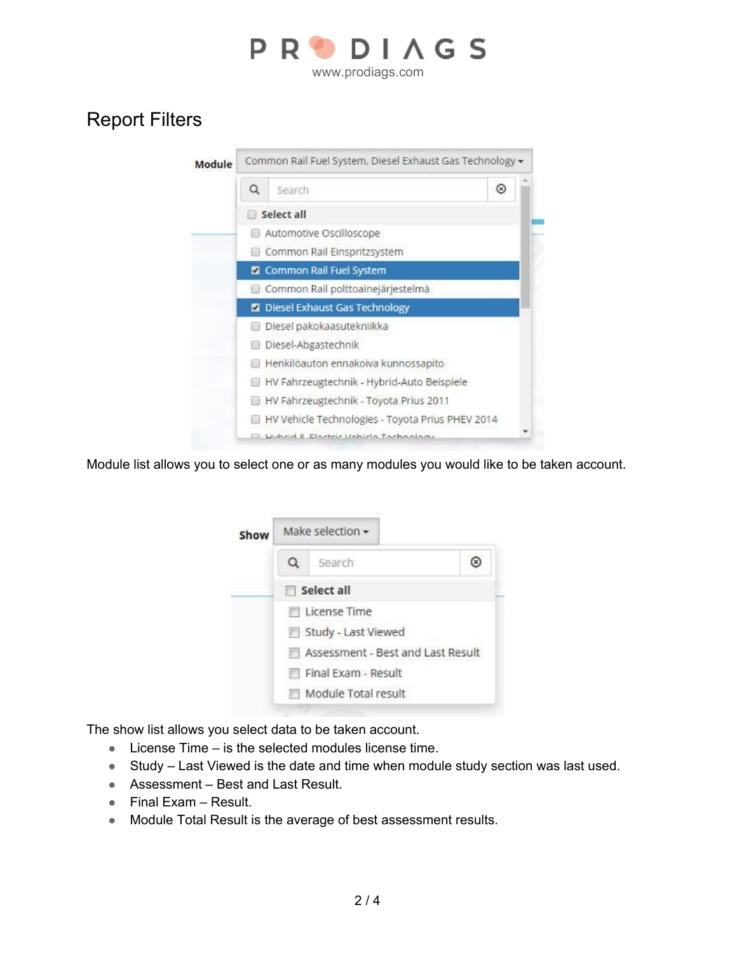

## Report Filters

| Module | Common Rail Fuel System, Diesel Exhaust Gas Technology - |                                                  |                |  |  |  |
|--------|----------------------------------------------------------|--------------------------------------------------|----------------|--|--|--|
|        | Q                                                        | Search                                           | $\circledcirc$ |  |  |  |
|        |                                                          | Select all                                       |                |  |  |  |
|        |                                                          | Automotive Oscilloscope                          |                |  |  |  |
|        |                                                          | Common Rail Einspritzsystem                      |                |  |  |  |
|        |                                                          | <b>Z</b> Common Rail Fuel System                 |                |  |  |  |
|        |                                                          | Common Rail polttoainejärjestelmä                |                |  |  |  |
|        |                                                          | Diesel Exhaust Gas Technology                    |                |  |  |  |
|        |                                                          | Diesel pakokaasutekniikka                        |                |  |  |  |
|        |                                                          | Diesel-Abgastechnik                              |                |  |  |  |
|        |                                                          | Henkilöauton ennakoiva kunnossapito              |                |  |  |  |
|        |                                                          | HV Fahrzeugtechnik - Hybrid-Auto Beispiele       |                |  |  |  |
|        |                                                          | HV Fahrzeugtechnik - Toyota Prius 2011           |                |  |  |  |
|        |                                                          | HV Vehicle Technologies - Toyota Prius PHEV 2014 |                |  |  |  |
|        |                                                          | Lightid & Electric Uebicle Technology            |                |  |  |  |

Module list allows you to select one or as many modules you would like to be taken account.

| Show |   | Make selection $\star$            |  |  |
|------|---|-----------------------------------|--|--|
|      | Q | Search                            |  |  |
|      |   | Select all                        |  |  |
|      |   | <b>El License Time</b>            |  |  |
|      |   | Study - Last Viewed               |  |  |
|      |   | Assessment - Best and Last Result |  |  |
|      |   | Final Exam - Result               |  |  |
|      |   | Module Total result               |  |  |
|      |   |                                   |  |  |

The show list allows you select data to be taken account.

- License Time is the selected modules license time.
- Study Last Viewed is the date and time when module study section was last used.
- Assessment Best and Last Result.
- Final Exam Result.
- Module Total Result is the average of best assessment results.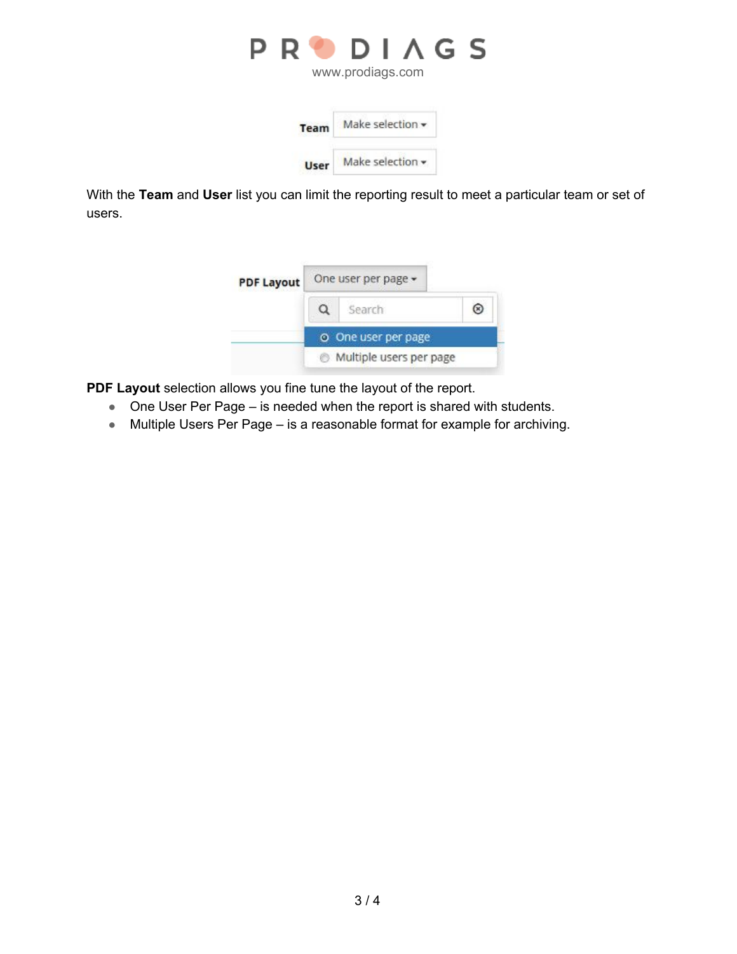

www.prodiags.com

| <b>Team</b> | Make selection •       |
|-------------|------------------------|
| User        | Make selection $\star$ |

With the **Team** and **User** list you can limit the reporting result to meet a particular team or set of users.



**PDF Layout** selection allows you fine tune the layout of the report.

- One User Per Page is needed when the report is shared with students.
- Multiple Users Per Page is a reasonable format for example for archiving.